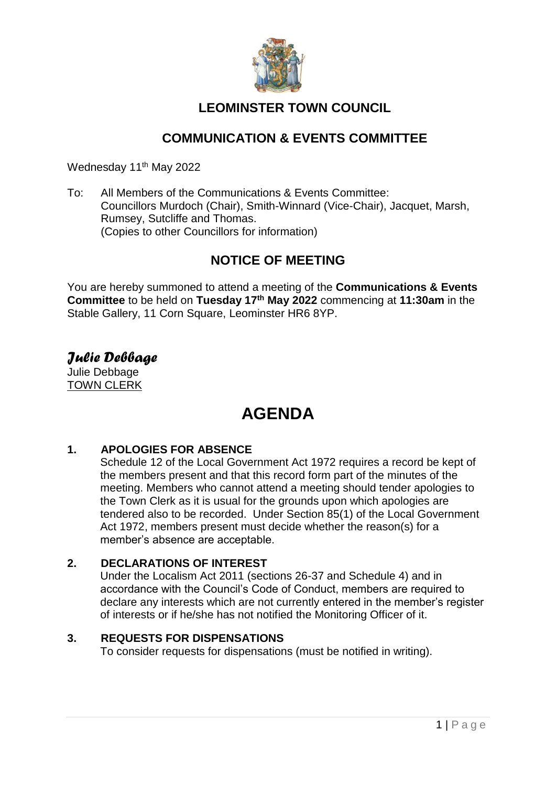

### **LEOMINSTER TOWN COUNCIL**

### **COMMUNICATION & EVENTS COMMITTEE**

Wednesday 11<sup>th</sup> May 2022

To: All Members of the Communications & Events Committee: Councillors Murdoch (Chair), Smith-Winnard (Vice-Chair), Jacquet, Marsh, Rumsey, Sutcliffe and Thomas. (Copies to other Councillors for information)

### **NOTICE OF MEETING**

You are hereby summoned to attend a meeting of the **Communications & Events Committee** to be held on **Tuesday 17th May 2022** commencing at **11:30am** in the Stable Gallery, 11 Corn Square, Leominster HR6 8YP.

*Julie Debbage* Julie Debbage TOWN CLERK

## **AGENDA**

### **1. APOLOGIES FOR ABSENCE**

Schedule 12 of the Local Government Act 1972 requires a record be kept of the members present and that this record form part of the minutes of the meeting. Members who cannot attend a meeting should tender apologies to the Town Clerk as it is usual for the grounds upon which apologies are tendered also to be recorded. Under Section 85(1) of the Local Government Act 1972, members present must decide whether the reason(s) for a member's absence are acceptable.

### **2. DECLARATIONS OF INTEREST**

Under the Localism Act 2011 (sections 26-37 and Schedule 4) and in accordance with the Council's Code of Conduct, members are required to declare any interests which are not currently entered in the member's register of interests or if he/she has not notified the Monitoring Officer of it.

### **3. REQUESTS FOR DISPENSATIONS**

To consider requests for dispensations (must be notified in writing).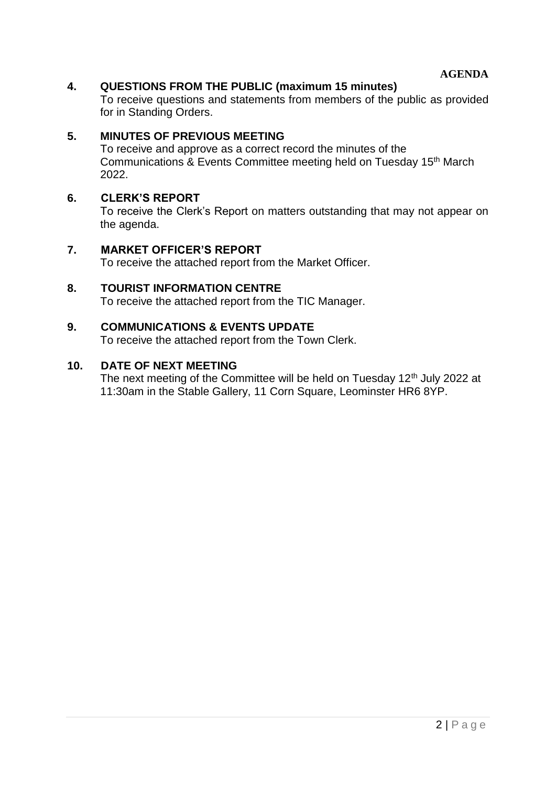**AGENDA**

### **4. QUESTIONS FROM THE PUBLIC (maximum 15 minutes)**

To receive questions and statements from members of the public as provided for in Standing Orders.

### **5. MINUTES OF PREVIOUS MEETING**

To receive and approve as a correct record the minutes of the Communications & Events Committee meeting held on Tuesday 15th March 2022.

#### **6. CLERK'S REPORT**

To receive the Clerk's Report on matters outstanding that may not appear on the agenda.

#### **7. MARKET OFFICER'S REPORT**

To receive the attached report from the Market Officer.

**8. TOURIST INFORMATION CENTRE** To receive the attached report from the TIC Manager.

#### **9. COMMUNICATIONS & EVENTS UPDATE**

To receive the attached report from the Town Clerk.

### **10. DATE OF NEXT MEETING**

The next meeting of the Committee will be held on Tuesday 12<sup>th</sup> July 2022 at 11:30am in the Stable Gallery, 11 Corn Square, Leominster HR6 8YP.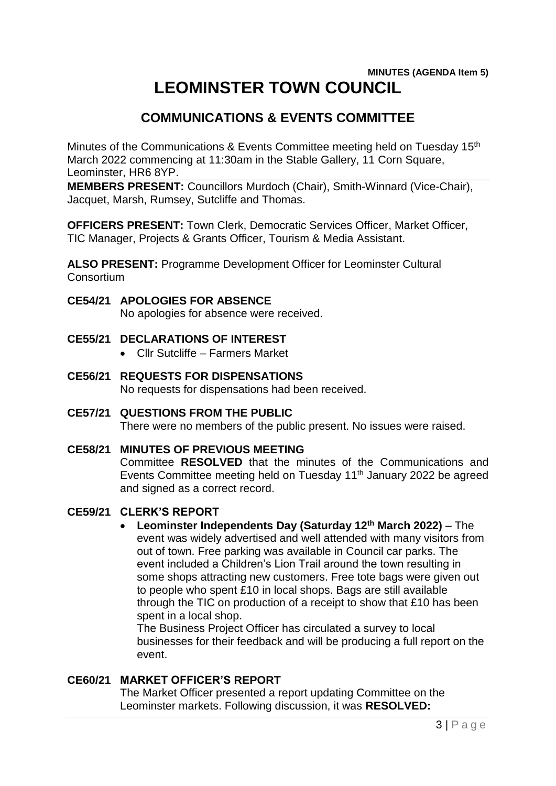### **MINUTES (AGENDA Item 5) LEOMINSTER TOWN COUNCIL**

### **COMMUNICATIONS & EVENTS COMMITTEE**

Minutes of the Communications & Events Committee meeting held on Tuesday 15th March 2022 commencing at 11:30am in the Stable Gallery, 11 Corn Square, Leominster, HR6 8YP.

**MEMBERS PRESENT:** Councillors Murdoch (Chair), Smith-Winnard (Vice-Chair), Jacquet, Marsh, Rumsey, Sutcliffe and Thomas.

**OFFICERS PRESENT:** Town Clerk, Democratic Services Officer, Market Officer, TIC Manager, Projects & Grants Officer, Tourism & Media Assistant.

**ALSO PRESENT:** Programme Development Officer for Leominster Cultural **Consortium** 

### **CE54/21 APOLOGIES FOR ABSENCE**

No apologies for absence were received.

- **CE55/21 DECLARATIONS OF INTEREST**
	- Cllr Sutcliffe Farmers Market
- **CE56/21 REQUESTS FOR DISPENSATIONS** No requests for dispensations had been received.
- **CE57/21 QUESTIONS FROM THE PUBLIC** There were no members of the public present. No issues were raised.

### **CE58/21 MINUTES OF PREVIOUS MEETING**

Committee **RESOLVED** that the minutes of the Communications and Events Committee meeting held on Tuesday 11th January 2022 be agreed and signed as a correct record.

### **CE59/21 CLERK'S REPORT**

 **Leominster Independents Day (Saturday 12th March 2022)** – The event was widely advertised and well attended with many visitors from out of town. Free parking was available in Council car parks. The event included a Children's Lion Trail around the town resulting in some shops attracting new customers. Free tote bags were given out to people who spent £10 in local shops. Bags are still available through the TIC on production of a receipt to show that £10 has been spent in a local shop.

The Business Project Officer has circulated a survey to local businesses for their feedback and will be producing a full report on the event.

### **CE60/21 MARKET OFFICER'S REPORT**

The Market Officer presented a report updating Committee on the Leominster markets. Following discussion, it was **RESOLVED:**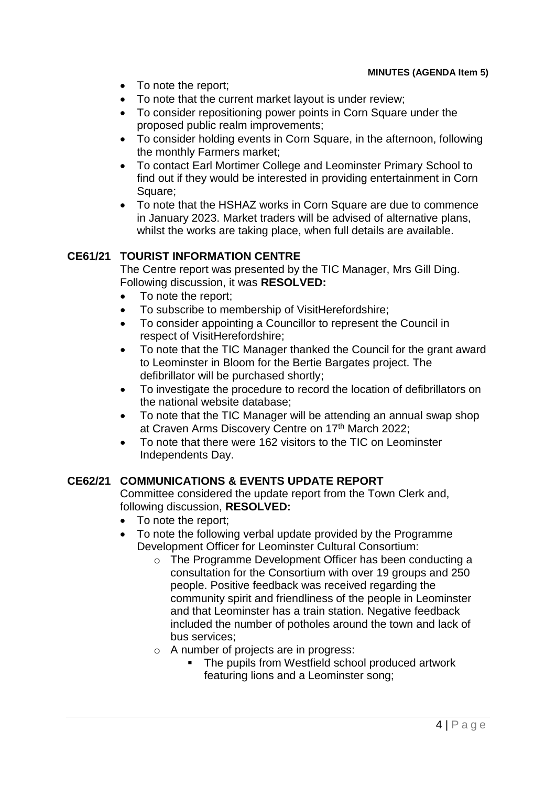- To note the report;
- To note that the current market layout is under review;
- To consider repositioning power points in Corn Square under the proposed public realm improvements;
- To consider holding events in Corn Square, in the afternoon, following the monthly Farmers market;
- To contact Earl Mortimer College and Leominster Primary School to find out if they would be interested in providing entertainment in Corn Square;
- To note that the HSHAZ works in Corn Square are due to commence in January 2023. Market traders will be advised of alternative plans, whilst the works are taking place, when full details are available.

### **CE61/21 TOURIST INFORMATION CENTRE**

The Centre report was presented by the TIC Manager, Mrs Gill Ding. Following discussion, it was **RESOLVED:**

- To note the report;
- To subscribe to membership of VisitHerefordshire;
- To consider appointing a Councillor to represent the Council in respect of VisitHerefordshire;
- To note that the TIC Manager thanked the Council for the grant award to Leominster in Bloom for the Bertie Bargates project. The defibrillator will be purchased shortly;
- To investigate the procedure to record the location of defibrillators on the national website database;
- To note that the TIC Manager will be attending an annual swap shop at Craven Arms Discovery Centre on 17th March 2022;
- To note that there were 162 visitors to the TIC on Leominster Independents Day.

### **CE62/21 COMMUNICATIONS & EVENTS UPDATE REPORT**

Committee considered the update report from the Town Clerk and, following discussion, **RESOLVED:**

- To note the report;
- To note the following verbal update provided by the Programme Development Officer for Leominster Cultural Consortium:
	- o The Programme Development Officer has been conducting a consultation for the Consortium with over 19 groups and 250 people. Positive feedback was received regarding the community spirit and friendliness of the people in Leominster and that Leominster has a train station. Negative feedback included the number of potholes around the town and lack of bus services;
	- o A number of projects are in progress:
		- The pupils from Westfield school produced artwork featuring lions and a Leominster song;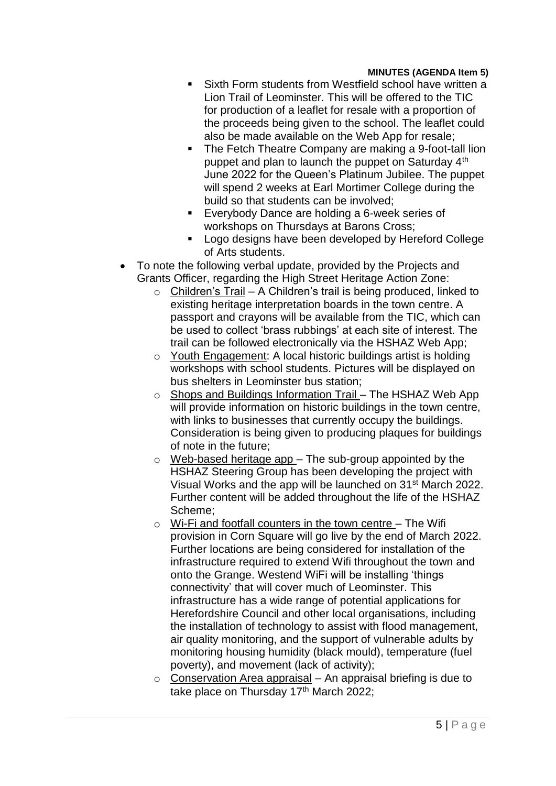- Sixth Form students from Westfield school have written a Lion Trail of Leominster. This will be offered to the TIC for production of a leaflet for resale with a proportion of the proceeds being given to the school. The leaflet could also be made available on the Web App for resale;
- The Fetch Theatre Company are making a 9-foot-tall lion puppet and plan to launch the puppet on Saturday 4<sup>th</sup> June 2022 for the Queen's Platinum Jubilee. The puppet will spend 2 weeks at Earl Mortimer College during the build so that students can be involved;
- Everybody Dance are holding a 6-week series of workshops on Thursdays at Barons Cross;
- **Logo designs have been developed by Hereford College** of Arts students.
- To note the following verbal update, provided by the Projects and Grants Officer, regarding the High Street Heritage Action Zone:
	- $\circ$  Children's Trail A Children's trail is being produced, linked to existing heritage interpretation boards in the town centre. A passport and crayons will be available from the TIC, which can be used to collect 'brass rubbings' at each site of interest. The trail can be followed electronically via the HSHAZ Web App;
	- o Youth Engagement: A local historic buildings artist is holding workshops with school students. Pictures will be displayed on bus shelters in Leominster bus station;
	- o Shops and Buildings Information Trail The HSHAZ Web App will provide information on historic buildings in the town centre, with links to businesses that currently occupy the buildings. Consideration is being given to producing plaques for buildings of note in the future;
	- $\circ$  Web-based heritage app The sub-group appointed by the HSHAZ Steering Group has been developing the project with Visual Works and the app will be launched on 31st March 2022. Further content will be added throughout the life of the HSHAZ Scheme;
	- $\circ$  Wi-Fi and footfall counters in the town centre The Wifi provision in Corn Square will go live by the end of March 2022. Further locations are being considered for installation of the infrastructure required to extend Wifi throughout the town and onto the Grange. Westend WiFi will be installing 'things connectivity' that will cover much of Leominster. This infrastructure has a wide range of potential applications for Herefordshire Council and other local organisations, including the installation of technology to assist with flood management, air quality monitoring, and the support of vulnerable adults by monitoring housing humidity (black mould), temperature (fuel poverty), and movement (lack of activity);
	- $\circ$  Conservation Area appraisal An appraisal briefing is due to take place on Thursday 17<sup>th</sup> March 2022;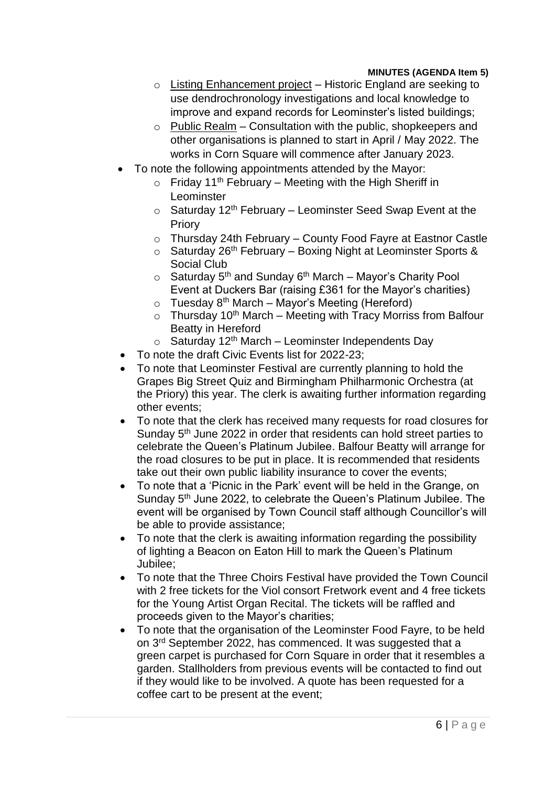- o Listing Enhancement project Historic England are seeking to use dendrochronology investigations and local knowledge to improve and expand records for Leominster's listed buildings;
- $\circ$  Public Realm Consultation with the public, shopkeepers and other organisations is planned to start in April / May 2022. The works in Corn Square will commence after January 2023.
- To note the following appointments attended by the Mayor:
	- $\circ$  Friday 11<sup>th</sup> February Meeting with the High Sheriff in Leominster
	- $\circ$  Saturday 12<sup>th</sup> February Leominster Seed Swap Event at the Priory
	- o Thursday 24th February County Food Fayre at Eastnor Castle
	- $\circ$  Saturday 26<sup>th</sup> February Boxing Night at Leominster Sports & Social Club
	- $\circ$  Saturday 5<sup>th</sup> and Sunday 6<sup>th</sup> March Mayor's Charity Pool Event at Duckers Bar (raising £361 for the Mayor's charities)
	- $\circ$  Tuesday 8<sup>th</sup> March Mayor's Meeting (Hereford)
	- $\circ$  Thursday 10<sup>th</sup> March Meeting with Tracy Morriss from Balfour Beatty in Hereford
	- $\circ$  Saturday 12<sup>th</sup> March Leominster Independents Day
- To note the draft Civic Events list for 2022-23;
- To note that Leominster Festival are currently planning to hold the Grapes Big Street Quiz and Birmingham Philharmonic Orchestra (at the Priory) this year. The clerk is awaiting further information regarding other events;
- To note that the clerk has received many requests for road closures for Sunday 5<sup>th</sup> June 2022 in order that residents can hold street parties to celebrate the Queen's Platinum Jubilee. Balfour Beatty will arrange for the road closures to be put in place. It is recommended that residents take out their own public liability insurance to cover the events;
- To note that a 'Picnic in the Park' event will be held in the Grange, on Sunday 5th June 2022, to celebrate the Queen's Platinum Jubilee. The event will be organised by Town Council staff although Councillor's will be able to provide assistance;
- To note that the clerk is awaiting information regarding the possibility of lighting a Beacon on Eaton Hill to mark the Queen's Platinum Jubilee;
- To note that the Three Choirs Festival have provided the Town Council with 2 free tickets for the Viol consort Fretwork event and 4 free tickets for the Young Artist Organ Recital. The tickets will be raffled and proceeds given to the Mayor's charities;
- To note that the organisation of the Leominster Food Fayre, to be held on 3<sup>rd</sup> September 2022, has commenced. It was suggested that a green carpet is purchased for Corn Square in order that it resembles a garden. Stallholders from previous events will be contacted to find out if they would like to be involved. A quote has been requested for a coffee cart to be present at the event;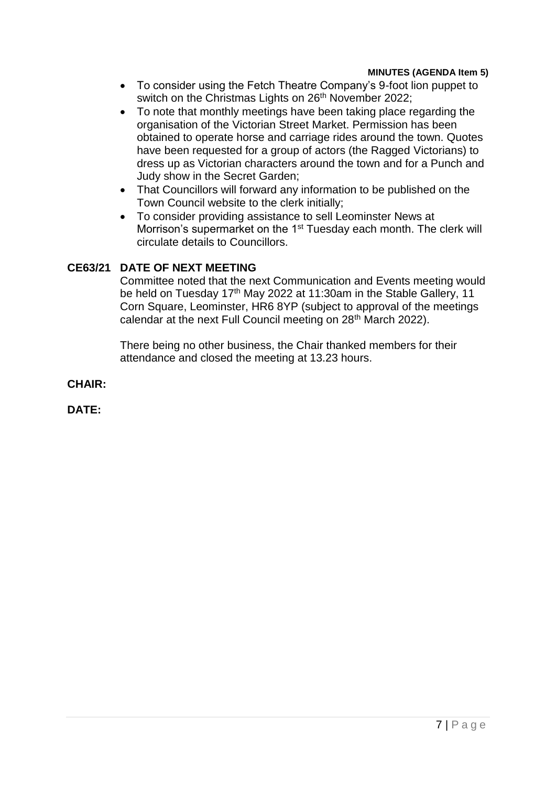- To consider using the Fetch Theatre Company's 9-foot lion puppet to switch on the Christmas Lights on 26<sup>th</sup> November 2022;
- To note that monthly meetings have been taking place regarding the organisation of the Victorian Street Market. Permission has been obtained to operate horse and carriage rides around the town. Quotes have been requested for a group of actors (the Ragged Victorians) to dress up as Victorian characters around the town and for a Punch and Judy show in the Secret Garden;
- That Councillors will forward any information to be published on the Town Council website to the clerk initially;
- To consider providing assistance to sell Leominster News at Morrison's supermarket on the 1<sup>st</sup> Tuesday each month. The clerk will circulate details to Councillors.

### **CE63/21 DATE OF NEXT MEETING**

Committee noted that the next Communication and Events meeting would be held on Tuesday 17<sup>th</sup> May 2022 at 11:30am in the Stable Gallery, 11 Corn Square, Leominster, HR6 8YP (subject to approval of the meetings calendar at the next Full Council meeting on 28<sup>th</sup> March 2022).

There being no other business, the Chair thanked members for their attendance and closed the meeting at 13.23 hours.

**CHAIR:**

**DATE:**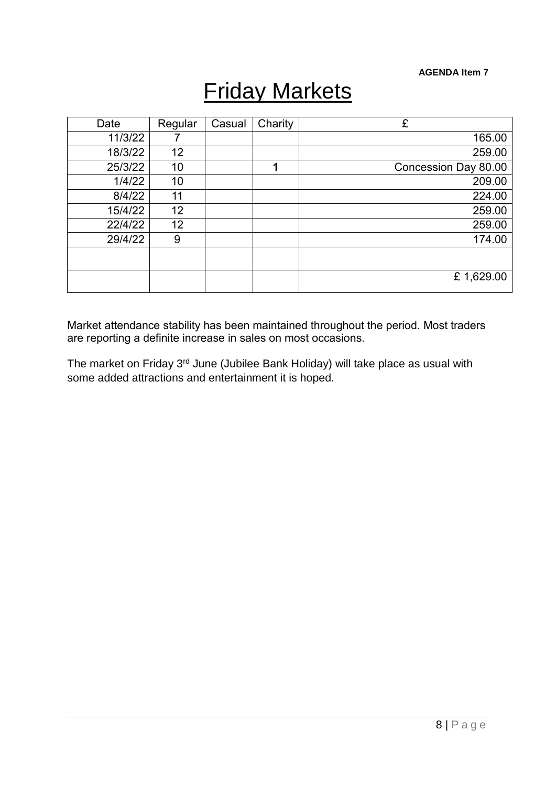#### **AGENDA Item 7**

# Friday Markets

| Date    | Regular | Casual | Charity | £                    |
|---------|---------|--------|---------|----------------------|
| 11/3/22 |         |        |         | 165.00               |
| 18/3/22 | 12      |        |         | 259.00               |
| 25/3/22 | 10      |        | 1       | Concession Day 80.00 |
| 1/4/22  | 10      |        |         | 209.00               |
| 8/4/22  | 11      |        |         | 224.00               |
| 15/4/22 | 12      |        |         | 259.00               |
| 22/4/22 | 12      |        |         | 259.00               |
| 29/4/22 | 9       |        |         | 174.00               |
|         |         |        |         |                      |
|         |         |        |         | £1,629.00            |

Market attendance stability has been maintained throughout the period. Most traders are reporting a definite increase in sales on most occasions.

The market on Friday 3rd June (Jubilee Bank Holiday) will take place as usual with some added attractions and entertainment it is hoped.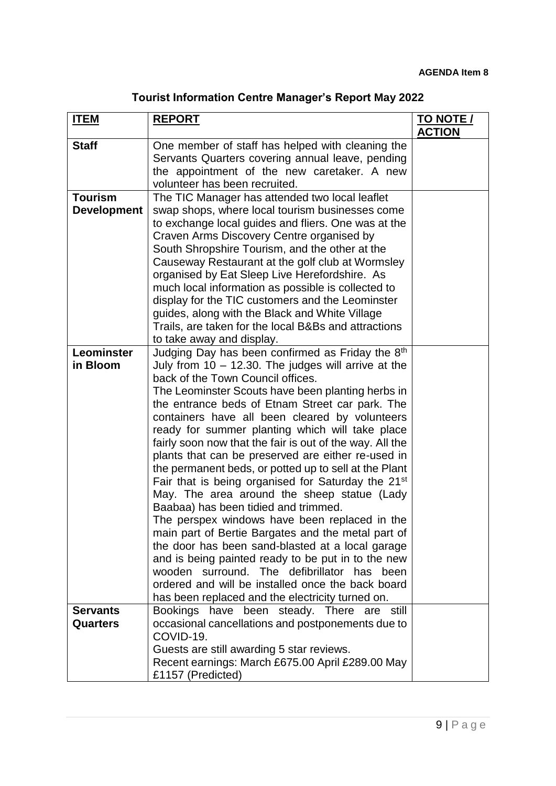| <b>Tourist Information Centre Manager's Report May 2022</b> |  |  |  |
|-------------------------------------------------------------|--|--|--|
|-------------------------------------------------------------|--|--|--|

| <b>ITEM</b>                          | <b>REPORT</b>                                                                                                                                                                                                                                                                                                                                                                                                                                                                                                                                                                                                                                                                                                                                                                                                                                                                                                                                                                                                                                                             | <b>TO NOTE /</b><br><b>ACTION</b> |
|--------------------------------------|---------------------------------------------------------------------------------------------------------------------------------------------------------------------------------------------------------------------------------------------------------------------------------------------------------------------------------------------------------------------------------------------------------------------------------------------------------------------------------------------------------------------------------------------------------------------------------------------------------------------------------------------------------------------------------------------------------------------------------------------------------------------------------------------------------------------------------------------------------------------------------------------------------------------------------------------------------------------------------------------------------------------------------------------------------------------------|-----------------------------------|
| <b>Staff</b>                         | One member of staff has helped with cleaning the<br>Servants Quarters covering annual leave, pending<br>the appointment of the new caretaker. A new<br>volunteer has been recruited.                                                                                                                                                                                                                                                                                                                                                                                                                                                                                                                                                                                                                                                                                                                                                                                                                                                                                      |                                   |
| <b>Tourism</b><br><b>Development</b> | The TIC Manager has attended two local leaflet<br>swap shops, where local tourism businesses come<br>to exchange local guides and fliers. One was at the<br>Craven Arms Discovery Centre organised by<br>South Shropshire Tourism, and the other at the<br>Causeway Restaurant at the golf club at Wormsley<br>organised by Eat Sleep Live Herefordshire. As<br>much local information as possible is collected to<br>display for the TIC customers and the Leominster<br>guides, along with the Black and White Village<br>Trails, are taken for the local B&Bs and attractions<br>to take away and display.                                                                                                                                                                                                                                                                                                                                                                                                                                                             |                                   |
| Leominster<br>in Bloom               | Judging Day has been confirmed as Friday the 8th<br>July from $10 - 12.30$ . The judges will arrive at the<br>back of the Town Council offices.<br>The Leominster Scouts have been planting herbs in<br>the entrance beds of Etnam Street car park. The<br>containers have all been cleared by volunteers<br>ready for summer planting which will take place<br>fairly soon now that the fair is out of the way. All the<br>plants that can be preserved are either re-used in<br>the permanent beds, or potted up to sell at the Plant<br>Fair that is being organised for Saturday the 21 <sup>st</sup><br>May. The area around the sheep statue (Lady<br>Baabaa) has been tidied and trimmed.<br>The perspex windows have been replaced in the<br>main part of Bertie Bargates and the metal part of<br>the door has been sand-blasted at a local garage<br>and is being painted ready to be put in to the new<br>wooden surround. The defibrillator has been<br>ordered and will be installed once the back board<br>has been replaced and the electricity turned on. |                                   |
| <b>Servants</b><br><b>Quarters</b>   | Bookings have been steady. There<br>are still<br>occasional cancellations and postponements due to<br>COVID-19.<br>Guests are still awarding 5 star reviews.<br>Recent earnings: March £675.00 April £289.00 May<br>£1157 (Predicted)                                                                                                                                                                                                                                                                                                                                                                                                                                                                                                                                                                                                                                                                                                                                                                                                                                     |                                   |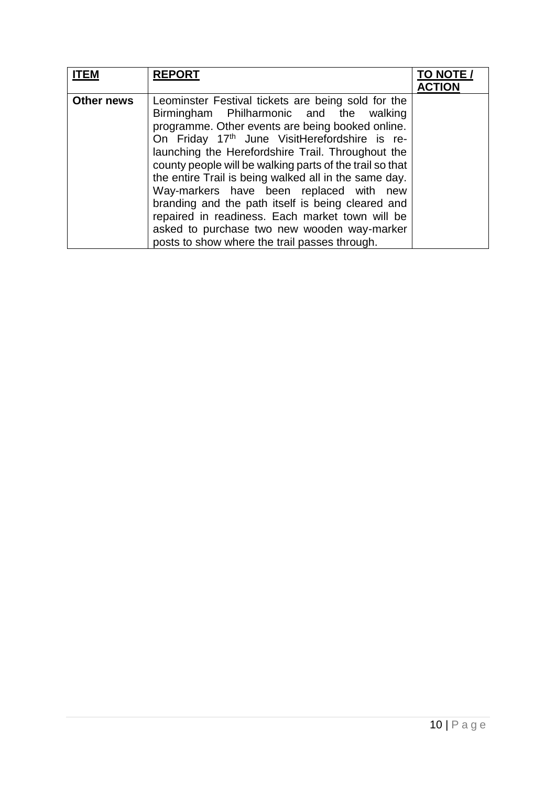| <b>ITEM</b>       | <b>REPORT</b>                                                                                                                                                                                                                                                                                                                                                                                                                                                                                                                                                                                                                               | TO NOTE /<br><b>ACTION</b> |
|-------------------|---------------------------------------------------------------------------------------------------------------------------------------------------------------------------------------------------------------------------------------------------------------------------------------------------------------------------------------------------------------------------------------------------------------------------------------------------------------------------------------------------------------------------------------------------------------------------------------------------------------------------------------------|----------------------------|
| <b>Other news</b> | Leominster Festival tickets are being sold for the<br>Birmingham Philharmonic and the walking<br>programme. Other events are being booked online.<br>On Friday 17 <sup>th</sup> June VisitHerefordshire is re-<br>launching the Herefordshire Trail. Throughout the<br>county people will be walking parts of the trail so that<br>the entire Trail is being walked all in the same day.<br>Way-markers have been replaced with new<br>branding and the path itself is being cleared and<br>repaired in readiness. Each market town will be<br>asked to purchase two new wooden way-marker<br>posts to show where the trail passes through. |                            |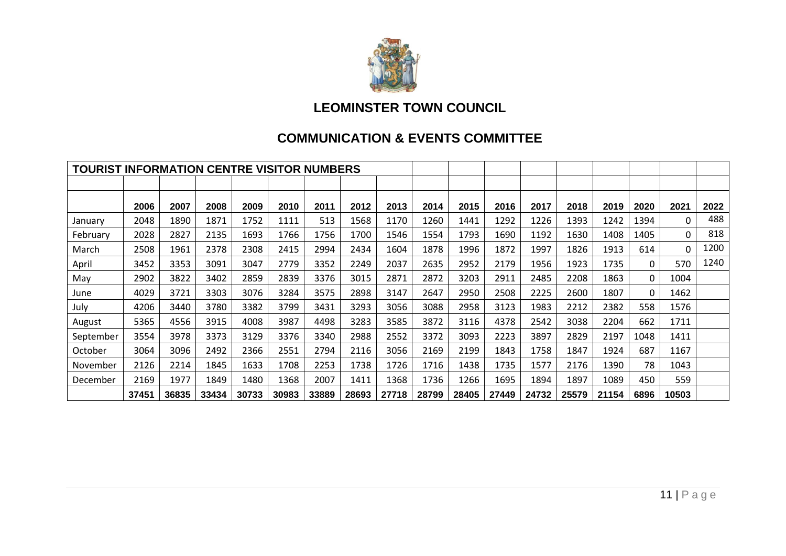

### **LEOMINSTER TOWN COUNCIL**

### **COMMUNICATION & EVENTS COMMITTEE**

| <b>TOURIST INFORMATION CENTRE VISITOR NUMBERS</b> |       |       |       |       |       |       |       |       |       |       |       |       |       |       |      |          |      |
|---------------------------------------------------|-------|-------|-------|-------|-------|-------|-------|-------|-------|-------|-------|-------|-------|-------|------|----------|------|
|                                                   |       |       |       |       |       |       |       |       |       |       |       |       |       |       |      |          |      |
|                                                   | 2006  | 2007  | 2008  | 2009  | 2010  | 2011  | 2012  | 2013  | 2014  | 2015  | 2016  | 2017  | 2018  | 2019  | 2020 | 2021     | 2022 |
| January                                           | 2048  | 1890  | 1871  | 1752  | 1111  | 513   | 1568  | 1170  | 1260  | 1441  | 1292  | 1226  | 1393  | 1242  | 1394 | $\Omega$ | 488  |
| February                                          | 2028  | 2827  | 2135  | 1693  | 1766  | 1756  | 1700  | 1546  | 1554  | 1793  | 1690  | 1192  | 1630  | 1408  | 1405 | 0        | 818  |
| March                                             | 2508  | 1961  | 2378  | 2308  | 2415  | 2994  | 2434  | 1604  | 1878  | 1996  | 1872  | 1997  | 1826  | 1913  | 614  | 0        | 1200 |
| April                                             | 3452  | 3353  | 3091  | 3047  | 2779  | 3352  | 2249  | 2037  | 2635  | 2952  | 2179  | 1956  | 1923  | 1735  | 0    | 570      | 1240 |
| May                                               | 2902  | 3822  | 3402  | 2859  | 2839  | 3376  | 3015  | 2871  | 2872  | 3203  | 2911  | 2485  | 2208  | 1863  | 0    | 1004     |      |
| June                                              | 4029  | 3721  | 3303  | 3076  | 3284  | 3575  | 2898  | 3147  | 2647  | 2950  | 2508  | 2225  | 2600  | 1807  | 0    | 1462     |      |
| July                                              | 4206  | 3440  | 3780  | 3382  | 3799  | 3431  | 3293  | 3056  | 3088  | 2958  | 3123  | 1983  | 2212  | 2382  | 558  | 1576     |      |
| August                                            | 5365  | 4556  | 3915  | 4008  | 3987  | 4498  | 3283  | 3585  | 3872  | 3116  | 4378  | 2542  | 3038  | 2204  | 662  | 1711     |      |
| September                                         | 3554  | 3978  | 3373  | 3129  | 3376  | 3340  | 2988  | 2552  | 3372  | 3093  | 2223  | 3897  | 2829  | 2197  | 1048 | 1411     |      |
| October                                           | 3064  | 3096  | 2492  | 2366  | 2551  | 2794  | 2116  | 3056  | 2169  | 2199  | 1843  | 1758  | 1847  | 1924  | 687  | 1167     |      |
| November                                          | 2126  | 2214  | 1845  | 1633  | 1708  | 2253  | 1738  | 1726  | 1716  | 1438  | 1735  | 1577  | 2176  | 1390  | 78   | 1043     |      |
| December                                          | 2169  | 1977  | 1849  | 1480  | 1368  | 2007  | 1411  | 1368  | 1736  | 1266  | 1695  | 1894  | 1897  | 1089  | 450  | 559      |      |
|                                                   | 37451 | 36835 | 33434 | 30733 | 30983 | 33889 | 28693 | 27718 | 28799 | 28405 | 27449 | 24732 | 25579 | 21154 | 6896 | 10503    |      |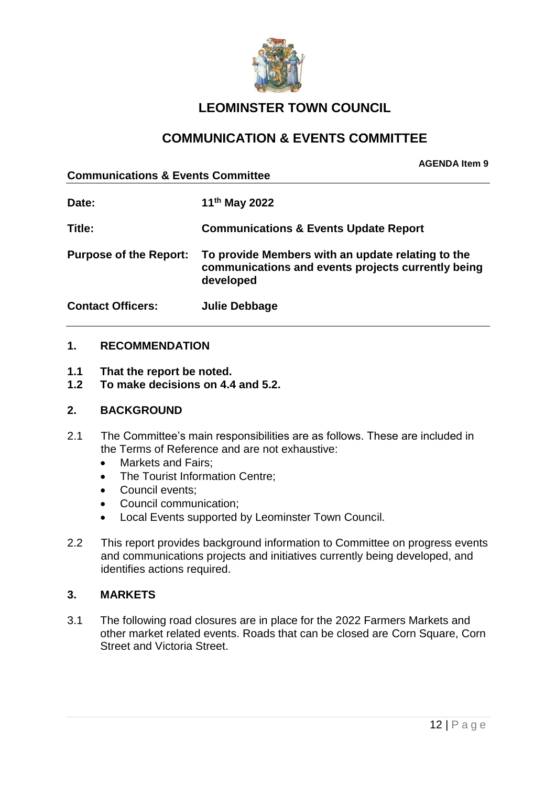

### **LEOMINSTER TOWN COUNCIL**

### **COMMUNICATION & EVENTS COMMITTEE**

**Communications & Events Committee**

**Date: 11th May 2022 Title: Communications & Events Update Report Purpose of the Report: To provide Members with an update relating to the communications and events projects currently being developed Contact Officers: Julie Debbage**

### **1. RECOMMENDATION**

- **1.1 That the report be noted.**
- **1.2 To make decisions on 4.4 and 5.2.**

#### **2. BACKGROUND**

- 2.1 The Committee's main responsibilities are as follows. These are included in the Terms of Reference and are not exhaustive:
	- Markets and Fairs:
	- The Tourist Information Centre:
	- Council events;
	- Council communication;
	- Local Events supported by Leominster Town Council.
- 2.2 This report provides background information to Committee on progress events and communications projects and initiatives currently being developed, and identifies actions required.

### **3. MARKETS**

3.1 The following road closures are in place for the 2022 Farmers Markets and other market related events. Roads that can be closed are Corn Square, Corn Street and Victoria Street.

**AGENDA Item 9**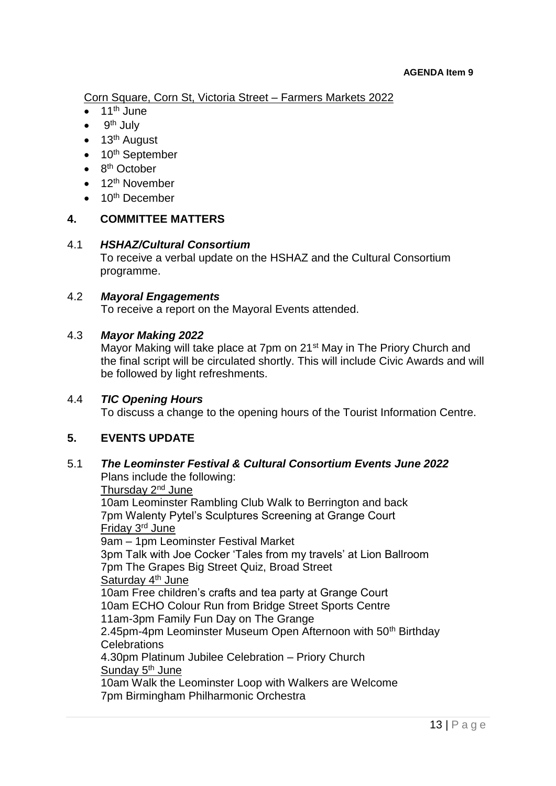Corn Square, Corn St, Victoria Street – Farmers Markets 2022

- 11th June
- 9<sup>th</sup> July
- $\bullet$  13<sup>th</sup> August
- $\bullet$  10<sup>th</sup> September
- $\bullet$  8<sup>th</sup> October
- $\bullet$  12<sup>th</sup> November
- $\bullet$  10<sup>th</sup> December

### **4. COMMITTEE MATTERS**

### 4.1 *HSHAZ/Cultural Consortium*

To receive a verbal update on the HSHAZ and the Cultural Consortium programme.

### 4.2 *Mayoral Engagements*

To receive a report on the Mayoral Events attended.

### 4.3 *Mayor Making 2022*

Mayor Making will take place at 7pm on 21<sup>st</sup> May in The Priory Church and the final script will be circulated shortly. This will include Civic Awards and will be followed by light refreshments.

### 4.4 *TIC Opening Hours*

To discuss a change to the opening hours of the Tourist Information Centre.

### **5. EVENTS UPDATE**

#### 5.1 *The Leominster Festival & Cultural Consortium Events June 2022* Plans include the following:

Thursday 2<sup>nd</sup> June 10am Leominster Rambling Club Walk to Berrington and back 7pm Walenty Pytel's Sculptures Screening at Grange Court Friday 3rd June 9am – 1pm Leominster Festival Market 3pm Talk with Joe Cocker 'Tales from my travels' at Lion Ballroom 7pm The Grapes Big Street Quiz, Broad Street Saturday 4<sup>th</sup> June 10am Free children's crafts and tea party at Grange Court 10am ECHO Colour Run from Bridge Street Sports Centre 11am-3pm Family Fun Day on The Grange 2.45pm-4pm Leominster Museum Open Afternoon with 50<sup>th</sup> Birthday **Celebrations** 4.30pm Platinum Jubilee Celebration – Priory Church Sunday 5<sup>th</sup> June 10am Walk the Leominster Loop with Walkers are Welcome 7pm Birmingham Philharmonic Orchestra